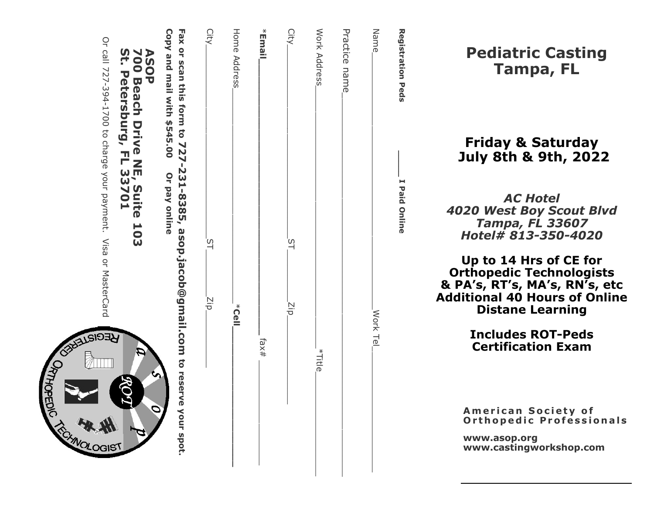| <b>Registration Peds</b><br>I Paid Online                                                                                         |               |
|-----------------------------------------------------------------------------------------------------------------------------------|---------------|
| <b>Name</b><br>Work Tel                                                                                                           |               |
| Practice name                                                                                                                     |               |
| Work Address                                                                                                                      | *Title_       |
| City<br>$\frac{1}{2}$<br>Νiρ                                                                                                      |               |
| *Email,                                                                                                                           | . fax#        |
| Home Address<br>$\sum_{k=1}^{k}$                                                                                                  |               |
| City<br>ρÉ<br>Νņ                                                                                                                  |               |
| Copy and mail with \$545.00<br>Fax or scan this form to 727-231-8385, asop.jacob@gmail.com to reserve your spot.<br>Or pay online |               |
| ASOP<br>700 Beach Drive NE, Suite 103<br>St. Petersburg, FL 33701                                                                 | $\mathcal{L}$ |
| Or call 727-394-17700 to that mourn payment. Visa or MasterCard                                                                   | स्रै<br>31ST  |

Pediatric Casting Tampa, FL

# Friday & Saturday July 8th & 9th, 2022

AC Hotel 4020 West Boy Scout Blvd Tampa, FL 33607 Hotel# 813 -350 -4020

Up to 14 Hrs of CE for Orthopedic Technologists & PA 's, RT 's, MA 's, RN 's, etc Additional 40 Hours of Online Distane Learning

> Includes ROT -Peds Certification Exam

American Society of Orthopedic Professionals

www.asop.org www.castingworkshop.com

Or call 7273941700 to charge your payment. Visa or MasterCard